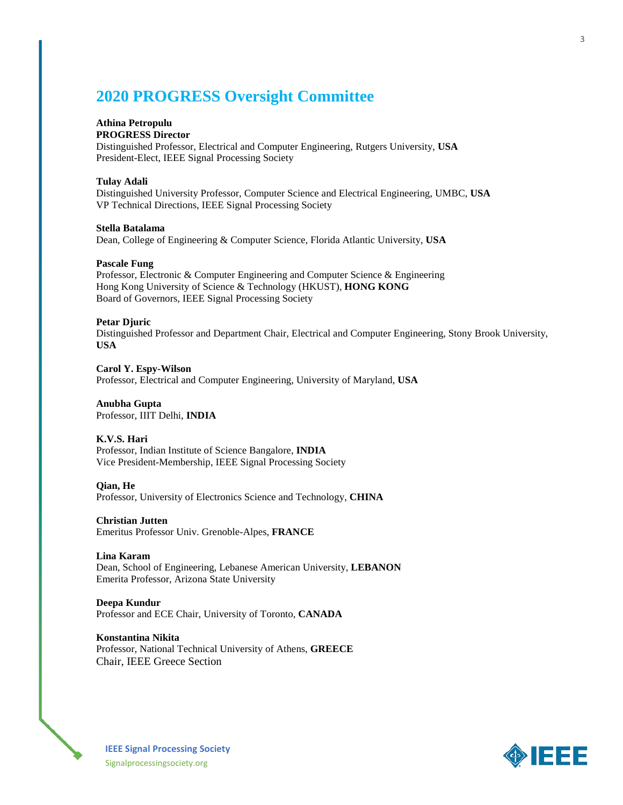# **2020 PROGRESS Oversight Committee**

## **Athina Petropulu**

**PROGRESS Director**

Distinguished Professor, Electrical and Computer Engineering, Rutgers University, **USA** President-Elect, IEEE Signal Processing Society

#### **Tulay Adali**

Distinguished University Professor, Computer Science and Electrical Engineering, UMBC, **USA** VP Technical Directions, IEEE Signal Processing Society

## **Stella Batalama**

Dean, College of Engineering & Computer Science, Florida Atlantic University, **USA**

#### **Pascale Fung**

Professor, Electronic & Computer Engineering and Computer Science & Engineering Hong Kong University of Science & Technology (HKUST), **HONG KONG** Board of Governors, IEEE Signal Processing Society

#### **Petar Djuric**

Distinguished Professor and Department Chair, Electrical and Computer Engineering, Stony Brook University, **USA**

**Carol Y. Espy-Wilson** Professor, Electrical and Computer Engineering, University of Maryland, **USA**

## **Anubha Gupta**

Professor, IIIT Delhi, **INDIA**

## **K.V.S. Hari**

Professor, Indian Institute of Science Bangalore, **INDIA** Vice President-Membership, IEEE Signal Processing Society

#### **Qian, He**

Professor, University of Electronics Science and Technology, **CHINA**

#### **Christian Jutten**

Emeritus Professor Univ. Grenoble-Alpes, **FRANCE**

## **Lina Karam**

Dean, School of Engineering, Lebanese American University, **LEBANON** Emerita Professor, Arizona State University

## **Deepa Kundur** Professor and ECE Chair, University of Toronto, **CANADA**

**Konstantina Nikita** Professor, National Technical University of Athens, **GREECE** Chair, IEEE Greece Section